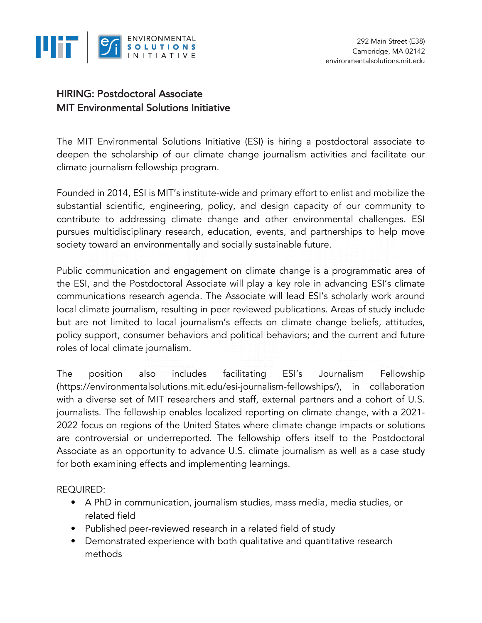

## HIRING: Postdoctoral Associate MIT Environmental Solutions Initiative

The MIT Environmental Solutions Initiative (ESI) is hiring a postdoctoral associate to deepen the scholarship of our climate change journalism activities and facilitate our climate journalism fellowship program.

Founded in 2014, ESI is MIT's institute-wide and primary effort to enlist and mobilize the substantial scientific, engineering, policy, and design capacity of our community to contribute to addressing climate change and other environmental challenges. ESI pursues multidisciplinary research, education, events, and partnerships to help move society toward an environmentally and socially sustainable future.

Public communication and engagement on climate change is a programmatic area of the ESI, and the Postdoctoral Associate will play a key role in advancing ESI's climate communications research agenda. The Associate will lead ESI's scholarly work around local climate journalism, resulting in peer reviewed publications. Areas of study include but are not limited to local journalism's effects on climate change beliefs, attitudes, policy support, consumer behaviors and political behaviors; and the current and future roles of local climate journalism.

The position also includes facilitating ESI's Journalism Fellowship (https://environmentalsolutions.mit.edu/esi-journalism-fellowships/), in collaboration with a diverse set of MIT researchers and staff, external partners and a cohort of U.S. journalists. The fellowship enables localized reporting on climate change, with a 2021- 2022 focus on regions of the United States where climate change impacts or solutions are controversial or underreported. The fellowship offers itself to the Postdoctoral Associate as an opportunity to advance U.S. climate journalism as well as a case study for both examining effects and implementing learnings.

REQUIRED:

- A PhD in communication, journalism studies, mass media, media studies, or related field
- Published peer-reviewed research in a related field of study
- Demonstrated experience with both qualitative and quantitative research methods